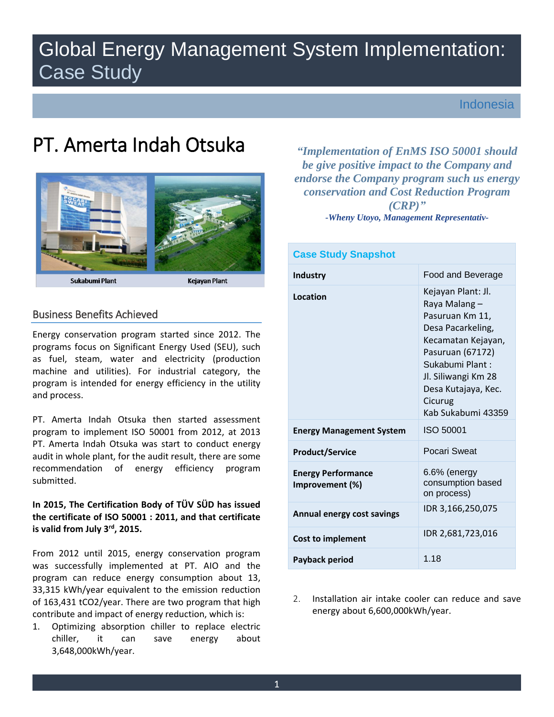# Global Energy Management System Implementation: Case Study

Indonesia

# PT. Amerta Indah Otsuka



Sukabumi Plant

Kejayan Plant

# Business Benefits Achieved

 Energy conservation program started since 2012. The programs focus on Significant Energy Used (SEU), such as fuel, steam, water and electricity (production machine and utilities). For industrial category, the program is intended for energy efficiency in the utility and process.

 PT. Amerta Indah Otsuka was start to conduct energy audit in whole plant, for the audit result, there are some PT. Amerta Indah Otsuka then started assessment program to implement ISO 50001 from 2012, at 2013 recommendation of energy efficiency program submitted.

# **the certificate of ISO 50001 : 2011, and that certificate is valid from July 3rd, 2015. In 2015, The Certification Body of TÜV SÜD has issued**

 From 2012 until 2015, energy conservation program program can reduce energy consumption about 13, 33,315 kWh/year equivalent to the emission reduction of 163,431 tCO2/year. There are two program that high was successfully implemented at PT. AIO and the contribute and impact of energy reduction, which is:

1. Optimizing absorption chiller to replace electric chiller, it can save energy about 3,648,000kWh/year.

 *"Implementation of EnMS ISO 50001 should (CRP)" be give positive impact to the Company and endorse the Company program such us energy conservation and Cost Reduction Program -Wheny Utoyo, Management Representativ-*

| <b>Case Study Snapshot</b>                   |                                                                                                                                                                                                                         |
|----------------------------------------------|-------------------------------------------------------------------------------------------------------------------------------------------------------------------------------------------------------------------------|
| <b>Industry</b>                              | Food and Beverage                                                                                                                                                                                                       |
| Location                                     | Kejayan Plant: Jl.<br>Raya Malang -<br>Pasuruan Km 11,<br>Desa Pacarkeling,<br>Kecamatan Kejayan,<br>Pasuruan (67172)<br>Sukabumi Plant:<br>Jl. Siliwangi Km 28<br>Desa Kutajaya, Kec.<br>Cicurug<br>Kab Sukabumi 43359 |
| <b>Energy Management System</b>              | ISO 50001                                                                                                                                                                                                               |
| <b>Product/Service</b>                       | Pocari Sweat                                                                                                                                                                                                            |
| <b>Energy Performance</b><br>Improvement (%) | 6.6% (energy<br>consumption based<br>on process)                                                                                                                                                                        |
| <b>Annual energy cost savings</b>            | IDR 3,166,250,075                                                                                                                                                                                                       |
| <b>Cost to implement</b>                     | IDR 2,681,723,016                                                                                                                                                                                                       |
| Payback period                               | 1.18                                                                                                                                                                                                                    |

2. Installation air intake cooler can reduce and save energy about 6,600,000kWh/year.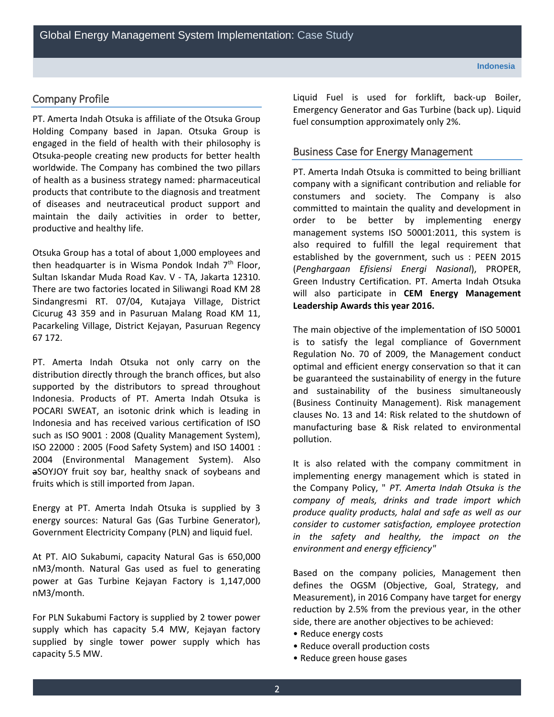# Company Profile

 of health as a business strategy named: pharmaceutical of diseases and neutraceutical product support and productive and healthy life. PT. Amerta Indah Otsuka is affiliate of the Otsuka Group Holding Company based in Japan. Otsuka Group is engaged in the field of health with their philosophy is Otsuka-people creating new products for better health worldwide. The Company has combined the two pillars products that contribute to the diagnosis and treatment maintain the daily activities in order to better,

 Otsuka Group has a total of about 1,000 employees and Sultan Iskandar Muda Road Kav. V - TA, Jakarta 12310. There are two factories located in Siliwangi Road KM 28 Sindangresmi RT. 07/04, Kutajaya Village, District then headquarter is in Wisma Pondok Indah  $7<sup>th</sup>$  Floor, Cicurug 43 359 and in Pasuruan Malang Road KM 11, Pacarkeling Village, District Kejayan, Pasuruan Regency 67 172.

 Indonesia and has received various certification of ISO 2004 (Environmental Management System). Also fruits which is still imported from Japan. PT. Amerta Indah Otsuka not only carry on the distribution directly through the branch offices, but also supported by the distributors to spread throughout Indonesia. Products of PT. Amerta Indah Otsuka is POCARI SWEAT, an isotonic drink which is leading in such as ISO 9001 : 2008 (Quality Management System), ISO 22000 : 2005 (Food Safety System) and ISO 14001 : aSOYJOY fruit soy bar, healthy snack of soybeans and

 Energy at PT. Amerta Indah Otsuka is supplied by 3 energy sources: Natural Gas (Gas Turbine Generator), Government Electricity Company (PLN) and liquid fuel.

 At PT. AIO Sukabumi, capacity Natural Gas is 650,000 nM3/month. Natural Gas used as fuel to generating power at Gas Turbine Kejayan Factory is 1,147,000 nM3/month.

 supplied by single tower power supply which has For PLN Sukabumi Factory is supplied by 2 tower power supply which has capacity 5.4 MW, Kejayan factory capacity 5.5 MW.

 Emergency Generator and Gas Turbine (back up). Liquid Liquid Fuel is used for forklift, back-up Boiler, fuel consumption approximately only 2%.

# Business Case for Energy Management

 PT. Amerta Indah Otsuka is committed to being brilliant management systems ISO 50001:2011, this system is established by the government, such us : PEEN 2015 company with a significant contribution and reliable for constumers and society. The Company is also committed to maintain the quality and development in order to be better by implementing energy also required to fulfill the legal requirement that (*Penghargaan Efisiensi Energi Nasional*), PROPER, Green Industry Certification. PT. Amerta Indah Otsuka will also participate in **CEM Energy Management Leadership Awards this year 2016.** 

 optimal and efficient energy conservation so that it can The main objective of the implementation of ISO 50001 is to satisfy the legal compliance of Government Regulation No. 70 of 2009, the Management conduct be guaranteed the sustainability of energy in the future and sustainability of the business simultaneously (Business Continuity Management). Risk management clauses No. 13 and 14: Risk related to the shutdown of manufacturing base & Risk related to environmental pollution.

 *company of meals, drinks and trade import which in the safety and healthy, the impact on the*  It is also related with the company commitment in implementing energy management which is stated in the Company Policy, " *PT. Amerta Indah Otsuka is the produce quality products, halal and safe as well as our consider to customer satisfaction, employee protection environment and energy efficiency"* 

 side, there are another objectives to be achieved: Based on the company policies, Management then defines the OGSM (Objective, Goal, Strategy, and Measurement), in 2016 Company have target for energy reduction by 2.5% from the previous year, in the other

- Reduce energy costs
- Reduce overall production costs
- Reduce green house gases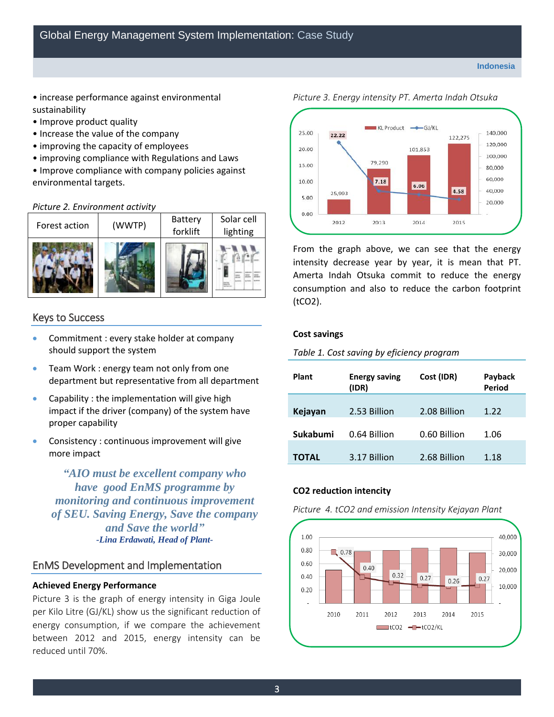- increase performance against environmental sustainability
- Improve product quality
- Increase the value of the company
- improving the capacity of employees
- improving compliance with Regulations and Laws
- Improve compliance with company policies against environmental targets.

### *Picture 2. Environment activity*



# Keys to Success

- Commitment : every stake holder at company should support the system
- department but representative from all department **•** Team Work : energy team not only from one
- Capability : the implementation will give high impact if the driver (company) of the system have proper capability
- Consistency : continuous improvement will give more impact

 *have good EnMS programme by "AIO must be excellent company who monitoring and continuous improvement of SEU. Saving Energy, Save the company and Save the world" -Lina Erdawati, Head of Plant-*

# EnMS Development and Implementation

### **Achieved Energy Performance**

 Picture 3 is the graph of energy intensity in Giga Joule per Kilo Litre (GJ/KL) show us the significant reduction of energy consumption, if we compare the achievement between 2012 and 2015, energy intensity can be reduced until 70%.



 intensity decrease year by year, it is mean that PT. Amerta Indah Otsuka commit to reduce the energy consumption and also to reduce the carbon footprint From the graph above, we can see that the energy (tCO2).

### **Cost savings**

 *Table 1. Cost saving by eficiency program* 

| <b>Plant</b> | <b>Energy saving</b><br>(IDR) | Cost (IDR)   | Payback<br>Period |
|--------------|-------------------------------|--------------|-------------------|
| Kejayan      | 2.53 Billion                  | 2.08 Billion | 1.22              |
| Sukabumi     | 0.64 Billion                  | 0.60 Billion | 1.06              |
| ΤΟΤΑL        | 3.17 Billion                  | 2.68 Billion | 1.18              |

### **CO2 reduction intencity**

 *Picture 4. tCO2 and emission Intensity Kejayan Plant* 

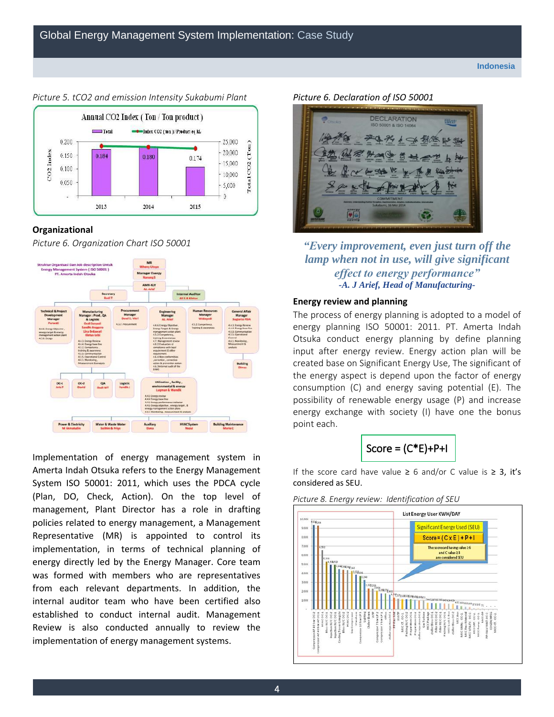

### *Picture 5. tCO2 and emission Intensity Sukabumi Plant Picture 6. Declaration of ISO 50001*

### **Organizational**

*Picture 6. Organization Chart ISO 50001* 



 Implementation of energy management system in Amerta Indah Otsuka refers to the Energy Management System ISO 50001: 2011, which uses the PDCA cycle (Plan, DO, Check, Action). On the top level of management, Plant Director has a role in drafting policies related to energy management, a Management Representative (MR) is appointed to control its implementation, in terms of technical planning of energy directly led by the Energy Manager. Core team was formed with members who are representatives from each relevant departments. In addition, the internal auditor team who have been certified also established to conduct internal audit. Management Review is also conducted annually to review the implementation of energy management systems.



*"Every improvement, even just turn off the lamp when not in use, will give significant effect to energy performance" -A. J Arief, Head of Manufacturing-*

### **Energy review and planning**

 energy planning ISO 50001: 2011. PT. Amerta Indah input after energy review. Energy action plan will be the energy aspect is depend upon the factor of energy consumption (C) and energy saving potential (E). The energy exchange with society (I) have one the bonus The process of energy planning is adopted to a model of Otsuka conduct energy planning by define planning created base on Significant Energy Use, The significant of possibility of renewable energy usage (P) and increase point each.



If the score card have value ≥ 6 and/or C value is ≥ 3, it's considered as SEU.



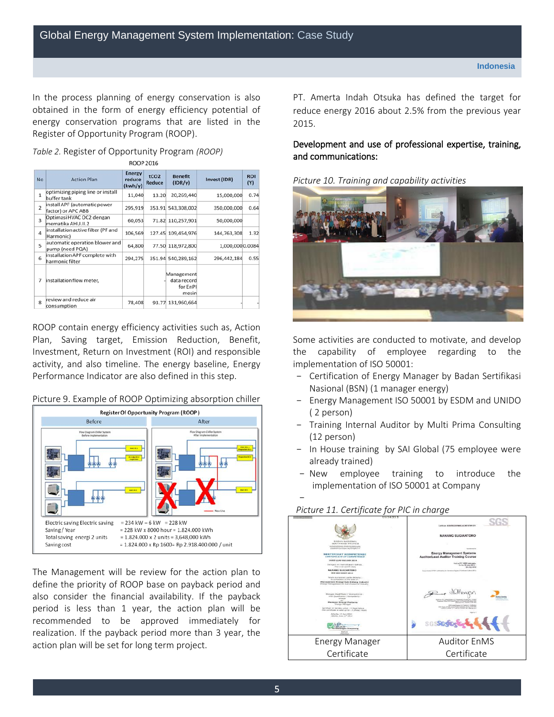In the process planning of energy conservation is also obtained in the form of energy efficiency potential of energy conservation programs that are listed in the 2015. Register of Opportunity Program (ROOP).

| Table 2. Register of Opportunity Program (ROOP) |  |
|-------------------------------------------------|--|
| ROOP 2016                                       |  |

| <b>No</b>               | <b>Action Plan</b>                                 | <b>Energy</b><br>reduce<br>(kwh/y) | tCO <sub>2</sub><br><b>Reduce</b> | <b>Benefit</b><br>(IDR/v)                      | Invest (IDR)    | <b>ROI</b><br>(Y) |
|-------------------------|----------------------------------------------------|------------------------------------|-----------------------------------|------------------------------------------------|-----------------|-------------------|
| $\mathbf{1}$            | optimizing piping line or install<br>buffer tank   | 11,040                             | 13.20                             | 20,269,440                                     | 15,000,000      | 0.74              |
| $\overline{2}$          | install APF (automatic power<br>factor) or APC ABB | 295,919                            |                                   | 353.91 543,308,002                             | 350,000,000     | 0.64              |
| $\overline{\mathbf{3}}$ | Optimasi HVAC OC2 dengan<br>mematika AHU.II.2      | 60.053                             |                                   | 71.82 110,257,901                              | 50,000,000      |                   |
| Δ                       | installation active filter (PF and<br>Harmonic)    | 106,569                            |                                   | 127.45 109,454,976                             | 144,763,308     | 1.32              |
| 5                       | automatic operation blower and<br>pump (need PQA)  | 64,800                             |                                   | 77.50 118,972,800                              | 1,000,0000.0084 |                   |
| 6                       | installation APF complete with<br>harmonic filter  | 294,275                            |                                   | 351.94 540,289,162                             | 296,442,184     | 0.55              |
| 7                       | installation flow meter,                           |                                    |                                   | Management<br>data record<br>for EnPI<br>mesin |                 |                   |
| 8                       | review and reduce air<br>consumption               | 78,408                             |                                   | 93.77 131,960,664                              |                 |                   |

 Plan, Saving target, Emission Reduction, Benefit, Performance Indicator are also defined in this step. ROOP contain energy efficiency activities such as, Action Investment, Return on Investment (ROI) and responsible activity, and also timeline. The energy baseline, Energy



Picture 9. Example of ROOP Optimizing absorption chiller

 The Management will be review for the action plan to define the priority of ROOP base on payback period and also consider the financial availability. If the payback period is less than 1 year, the action plan will be recommended to be approved immediately for realization. If the payback period more than 3 year, the action plan will be set for long term project.

In the process planning of energy conservation is also PT. Amerta Indah Otsuka has defined the target for obtained in the form of energy efficiency potential of cantial reduce energy 2016 about 2.5% from the previous year

# Development and use of professional expertise, training, *Table 2.* Register of Opportunity Program *(ROOP)* and communications:





 Some activities are conducted to motivate, and develop the capability of employee regarding to the implementation of ISO 50001:

- Certification of Energy Manager by Badan Sertifikasi Nasional (BSN) (1 manager energy)
- - Energy Management ISO 50001 by ESDM and UNIDO ( 2 person)
- Training Internal Auditor by Multi Prima Consulting (12 person)
- In House training by SAI Global (75 employee were already trained)
- implementation of ISO 50001 at Company - New employee training to introduce the

# -

# *Picture 11. Certificate for PIC in charge*

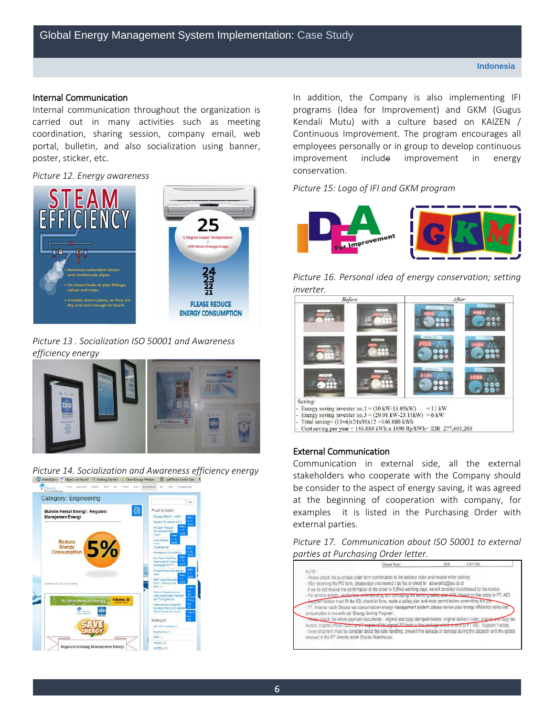### Internal Communication

 carried out in many activities such as meeting portal, bulletin, and also socialization using banner, Internal communication throughout the organization is coordination, sharing session, company email, web poster, sticker, etc.

### *Picture 12. Energy awareness*



### *Picture 13 . Socialization ISO 50001 and Awareness*  efficiency energy



**Picture 14. Socialization and Awareness efficiency energy** 



In addition, the Company is also implementing IFI programs (Idea for Improvement) and GKM (Gugus Kendali Mutu) with a culture based on KAIZEN / employees personally or in group to develop continuous improvement conservation. Continuous Improvement. The program encourages all include improvement in energy

# *Picture 15: Logo of IFI and GKM program*



 *Picture 16. Personal idea of energy conservation; setting inverter.* 



### External Communication

 at the beginning of cooperation with company, for examples it is listed in the Purchasing Order with Communication in external side, all the external stakeholders who cooperate with the Company should be consider to the aspect of energy saving, it was agreed external parties.

*Picture 17. Communication about ISO 50001 to external parties at Purchasing Order letter.*